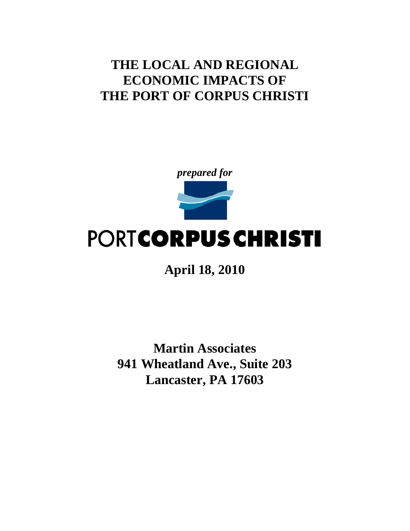## **THE LOCAL AND REGIONAL ECONOMIC IMPACTS OF THE PORT OF CORPUS CHRISTI**



# PORTCORPUS CHRISTI

**April 18, 2010**

**Martin Associates 941 Wheatland Ave., Suite 203 Lancaster, PA 17603**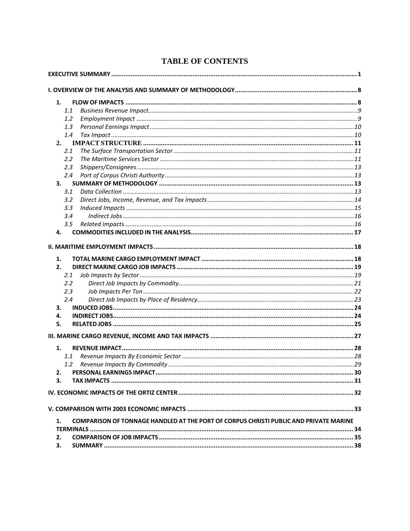| 1.           |                                                                                       |  |
|--------------|---------------------------------------------------------------------------------------|--|
|              | 1.1                                                                                   |  |
|              | 1.2                                                                                   |  |
|              | 1.3                                                                                   |  |
|              | 1.4                                                                                   |  |
| 2.           |                                                                                       |  |
|              | 2.1                                                                                   |  |
|              | 2.2                                                                                   |  |
|              | 2.3                                                                                   |  |
|              | 2.4                                                                                   |  |
| 3.           |                                                                                       |  |
|              | 3.1                                                                                   |  |
|              | 3.2                                                                                   |  |
|              | 3.3                                                                                   |  |
|              | 3.4                                                                                   |  |
|              | 3.5                                                                                   |  |
| 4.           |                                                                                       |  |
| 1.<br>2.     |                                                                                       |  |
|              | 2.1                                                                                   |  |
|              | 2.2                                                                                   |  |
|              | 2.3                                                                                   |  |
|              | 2.4                                                                                   |  |
| З.           |                                                                                       |  |
| 4.           |                                                                                       |  |
| 5.           |                                                                                       |  |
|              |                                                                                       |  |
| 1.           |                                                                                       |  |
|              | 1.1                                                                                   |  |
|              | $1.2^{\circ}$                                                                         |  |
| $\mathbf{z}$ | PERSONAL FARNINGS IMPACT.                                                             |  |
| 3.           |                                                                                       |  |
|              |                                                                                       |  |
|              |                                                                                       |  |
| 1.           | COMPARISON OF TONNAGE HANDLED AT THE PORT OF CORPUS CHRISTI PUBLIC AND PRIVATE MARINE |  |
|              |                                                                                       |  |
| 2.           |                                                                                       |  |
| 3.           |                                                                                       |  |

## **TABLE OF CONTENTS**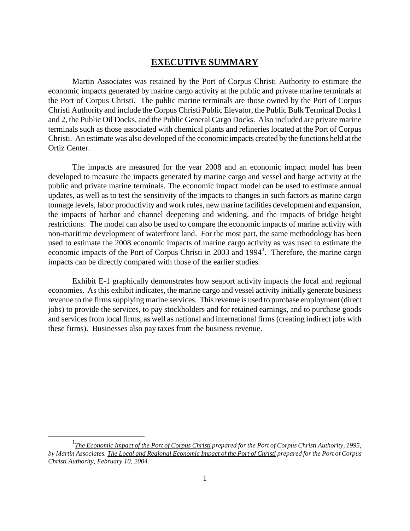## **EXECUTIVE SUMMARY**

<span id="page-2-0"></span>Martin Associates was retained by the Port of Corpus Christi Authority to estimate the economic impacts generated by marine cargo activity at the public and private marine terminals at the Port of Corpus Christi. The public marine terminals are those owned by the Port of Corpus Christi Authority and include the Corpus Christi Public Elevator, the Public Bulk Terminal Docks 1 and 2, the Public Oil Docks, and the Public General Cargo Docks. Also included are private marine terminals such as those associated with chemical plants and refineries located at the Port of Corpus Christi. An estimate was also developed of the economic impacts created by the functions held at the Ortiz Center.

The impacts are measured for the year 2008 and an economic impact model has been developed to measure the impacts generated by marine cargo and vessel and barge activity at the public and private marine terminals. The economic impact model can be used to estimate annual updates, as well as to test the sensitivity of the impacts to changes in such factors as marine cargo tonnage levels, labor productivity and work rules, new marine facilities development and expansion, the impacts of harbor and channel deepening and widening, and the impacts of bridge height restrictions. The model can also be used to compare the economic impacts of marine activity with non-maritime development of waterfront land. For the most part, the same methodology has been used to estimate the 2008 economic impacts of marine cargo activity as was used to estimate the economic impacts of the Port of Corpus Christi in 2003 and [1](#page-2-1)994<sup>1</sup>. Therefore, the marine cargo impacts can be directly compared with those of the earlier studies.

Exhibit E-1 graphically demonstrates how seaport activity impacts the local and regional economies. As this exhibit indicates, the marine cargo and vessel activity initially generate business revenue to the firms supplying marine services. This revenue is used to purchase employment (direct jobs) to provide the services, to pay stockholders and for retained earnings, and to purchase goods and services from local firms, as well as national and international firms (creating indirect jobs with these firms). Businesses also pay taxes from the business revenue.

<span id="page-2-1"></span><sup>&</sup>lt;u>1</u> *The Economic Impact of the Port of Corpus Christi prepared for the Port of Corpus Christi Authority, 1995, by Martin Associates. The Local and Regional Economic Impact of the Port of Christi prepared for the Port of Corpus Christi Authority, February 10, 2004.*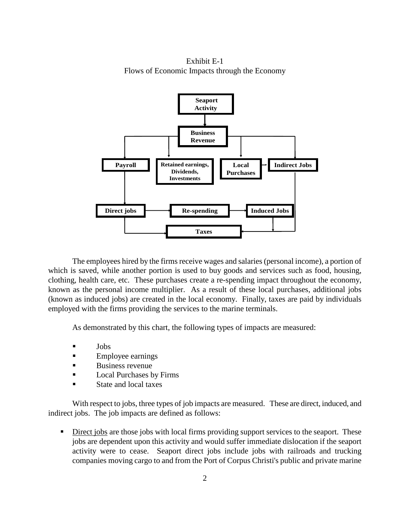Exhibit E-1 Flows of Economic Impacts through the Economy



The employees hired by the firms receive wages and salaries (personal income), a portion of which is saved, while another portion is used to buy goods and services such as food, housing, clothing, health care, etc. These purchases create a re-spending impact throughout the economy, known as the personal income multiplier. As a result of these local purchases, additional jobs (known as induced jobs) are created in the local economy. Finally, taxes are paid by individuals employed with the firms providing the services to the marine terminals.

As demonstrated by this chart, the following types of impacts are measured:

- **Jobs**
- **Employee earnings**
- Business revenue
- **Local Purchases by Firms**
- State and local taxes

With respect to jobs, three types of job impacts are measured. These are direct, induced, and indirect jobs. The job impacts are defined as follows:

Direct jobs are those jobs with local firms providing support services to the seaport. These jobs are dependent upon this activity and would suffer immediate dislocation if the seaport activity were to cease. Seaport direct jobs include jobs with railroads and trucking companies moving cargo to and from the Port of Corpus Christi's public and private marine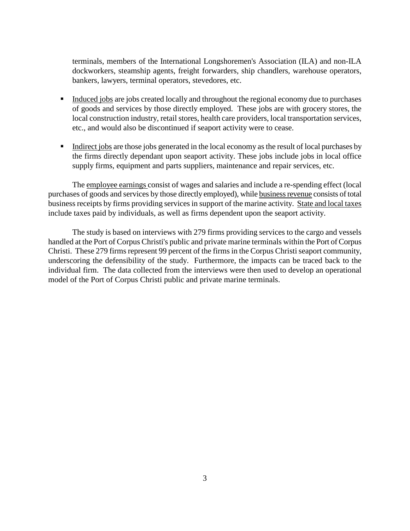terminals, members of the International Longshoremen's Association (ILA) and non-ILA dockworkers, steamship agents, freight forwarders, ship chandlers, warehouse operators, bankers, lawyers, terminal operators, stevedores, etc.

- Induced jobs are jobs created locally and throughout the regional economy due to purchases of goods and services by those directly employed. These jobs are with grocery stores, the local construction industry, retail stores, health care providers, local transportation services, etc., and would also be discontinued if seaport activity were to cease.
- Indirect jobs are those jobs generated in the local economy as the result of local purchases by the firms directly dependant upon seaport activity. These jobs include jobs in local office supply firms, equipment and parts suppliers, maintenance and repair services, etc.

The employee earnings consist of wages and salaries and include a re-spending effect (local purchases of goods and services by those directly employed), while business revenue consists of total business receipts by firms providing services in support of the marine activity. State and local taxes include taxes paid by individuals, as well as firms dependent upon the seaport activity.

The study is based on interviews with 279 firms providing services to the cargo and vessels handled at the Port of Corpus Christi's public and private marine terminals within the Port of Corpus Christi. These 279 firms represent 99 percent of the firms in the Corpus Christi seaport community, underscoring the defensibility of the study. Furthermore, the impacts can be traced back to the individual firm. The data collected from the interviews were then used to develop an operational model of the Port of Corpus Christi public and private marine terminals.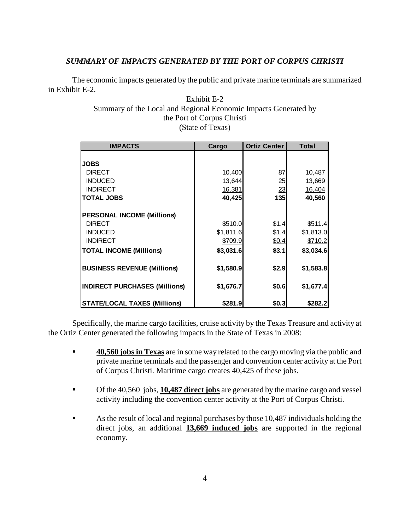## *SUMMARY OF IMPACTS GENERATED BY THE PORT OF CORPUS CHRISTI*

The economic impacts generated by the public and private marine terminals are summarized in Exhibit E-2.

## Exhibit E-2 Summary of the Local and Regional Economic Impacts Generated by the Port of Corpus Christi (State of Texas)

| <b>IMPACTS</b>                       | Cargo     | <b>Ortiz Center</b> | <b>Total</b> |
|--------------------------------------|-----------|---------------------|--------------|
|                                      |           |                     |              |
| <b>JOBS</b>                          |           |                     |              |
| <b>DIRECT</b>                        | 10,400    | 87                  | 10,487       |
| <b>INDUCED</b>                       | 13,644    | 25                  | 13,669       |
| <b>INDIRECT</b>                      | 16,381    | 23                  | 16,404       |
| <b>TOTAL JOBS</b>                    | 40,425    | 135                 | 40,560       |
|                                      |           |                     |              |
| <b>PERSONAL INCOME (Millions)</b>    |           |                     |              |
| <b>DIRECT</b>                        | \$510.0   | \$1.4               | \$511.4      |
| <b>INDUCED</b>                       | \$1,811.6 | \$1.4               | \$1,813.0    |
| <b>INDIRECT</b>                      | \$709.9   | \$0.4               | \$710.2      |
| <b>TOTAL INCOME (Millions)</b>       | \$3,031.6 | \$3.1               | \$3,034.6    |
|                                      |           |                     |              |
| <b>BUSINESS REVENUE (Millions)</b>   | \$1,580.9 | \$2.9               | \$1,583.8    |
|                                      |           |                     |              |
| <b>INDIRECT PURCHASES (Millions)</b> | \$1,676.7 | \$0.6               | \$1,677.4    |
|                                      |           |                     |              |
| <b>STATE/LOCAL TAXES (Millions)</b>  | \$281.9   | \$0.3               | \$282.2      |

Specifically, the marine cargo facilities, cruise activity by the Texas Treasure and activity at the Ortiz Center generated the following impacts in the State of Texas in 2008:

- **40,560 jobs in Texas** are in some way related to the cargo moving via the public and private marine terminals and the passenger and convention center activity at the Port of Corpus Christi. Maritime cargo creates 40,425 of these jobs.
- Of the 40,560 jobs, **10,487 direct jobs** are generated by the marine cargo and vessel activity including the convention center activity at the Port of Corpus Christi.
- As the result of local and regional purchases by those 10,487 individuals holding the direct jobs, an additional **13,669 induced jobs** are supported in the regional economy.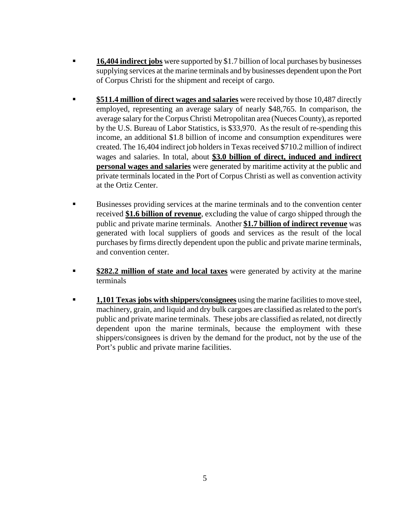- **16,404 indirect jobs** were supported by \$1.7 billion of local purchases by businesses supplying services at the marine terminals and by businesses dependent upon the Port of Corpus Christi for the shipment and receipt of cargo.
- **\$511.4 million of direct wages and salaries** were received by those 10,487 directly employed, representing an average salary of nearly \$48,765. In comparison, the average salary for the Corpus Christi Metropolitan area (Nueces County), as reported by the U.S. Bureau of Labor Statistics, is \$33,970. As the result of re-spending this income, an additional \$1.8 billion of income and consumption expenditures were created. The 16,404 indirect job holders in Texas received \$710.2 million of indirect wages and salaries. In total, about **\$3.0 billion of direct, induced and indirect personal wages and salaries** were generated by maritime activity at the public and private terminals located in the Port of Corpus Christi as well as convention activity at the Ortiz Center.
- Businesses providing services at the marine terminals and to the convention center received **\$1.6 billion of revenue**, excluding the value of cargo shipped through the public and private marine terminals. Another **\$1.7 billion of indirect revenue** was generated with local suppliers of goods and services as the result of the local purchases by firms directly dependent upon the public and private marine terminals, and convention center.
- **\$282.2 million of state and local taxes** were generated by activity at the marine terminals
- **1,101 Texas jobs with shippers/consignees** using the marine facilities to move steel, machinery, grain, and liquid and dry bulk cargoes are classified as related to the port's public and private marine terminals. These jobs are classified as related, not directly dependent upon the marine terminals, because the employment with these shippers/consignees is driven by the demand for the product, not by the use of the Port's public and private marine facilities.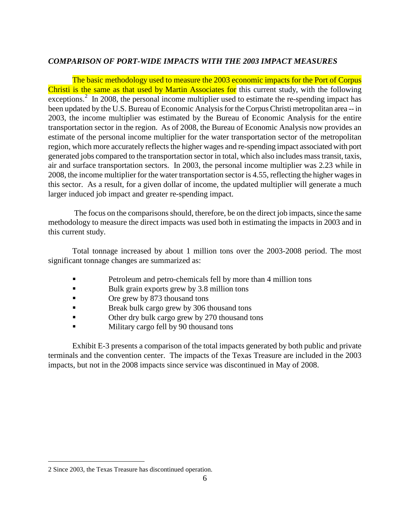## *COMPARISON OF PORT-WIDE IMPACTS WITH THE 2003 IMPACT MEASURES*

The basic methodology used to measure the 2003 economic impacts for the Port of Corpus Christi is the same as that used by Martin Associates for this current study, with the following exceptions.<sup>[2](#page-7-0)</sup> In 2008, the personal income multiplier used to estimate the re-spending impact has been updated by the U.S. Bureau of Economic Analysis for the Corpus Christi metropolitan area -- in 2003, the income multiplier was estimated by the Bureau of Economic Analysis for the entire transportation sector in the region. As of 2008, the Bureau of Economic Analysis now provides an estimate of the personal income multiplier for the water transportation sector of the metropolitan region, which more accurately reflects the higher wages and re-spending impact associated with port generated jobs compared to the transportation sector in total, which also includes mass transit, taxis, air and surface transportation sectors. In 2003, the personal income multiplier was 2.23 while in 2008, the income multiplier for the water transportation sector is 4.55, reflecting the higher wages in this sector. As a result, for a given dollar of income, the updated multiplier will generate a much larger induced job impact and greater re-spending impact.

The focus on the comparisons should, therefore, be on the direct job impacts, since the same methodology to measure the direct impacts was used both in estimating the impacts in 2003 and in this current study.

Total tonnage increased by about 1 million tons over the 2003-2008 period. The most significant tonnage changes are summarized as:

- **Petroleum and petro-chemicals fell by more than 4 million tons**
- Bulk grain exports grew by 3.8 million tons
- Ore grew by 873 thousand tons
- **Break bulk cargo grew by 306 thousand tons**
- Other dry bulk cargo grew by 270 thousand tons
- Military cargo fell by 90 thousand tons

Exhibit E-3 presents a comparison of the total impacts generated by both public and private terminals and the convention center. The impacts of the Texas Treasure are included in the 2003 impacts, but not in the 2008 impacts since service was discontinued in May of 2008.

 $\overline{a}$ 

<span id="page-7-0"></span><sup>2</sup> Since 2003, the Texas Treasure has discontinued operation.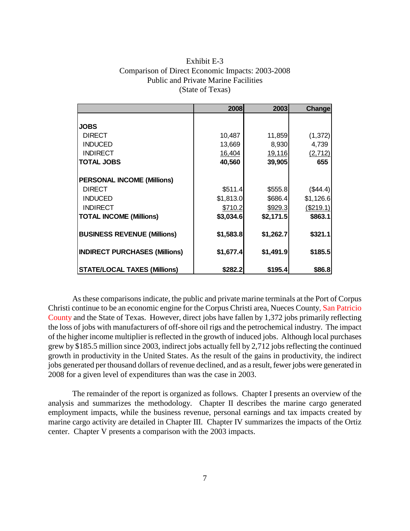| Exhibit E-3                                      |
|--------------------------------------------------|
| Comparison of Direct Economic Impacts: 2003-2008 |
| <b>Public and Private Marine Facilities</b>      |
| (State of Texas)                                 |

|                                      | 2008      | 2003      | Change    |
|--------------------------------------|-----------|-----------|-----------|
|                                      |           |           |           |
| <b>JOBS</b>                          |           |           |           |
| <b>DIRECT</b>                        | 10,487    | 11,859    | (1, 372)  |
| <b>INDUCED</b>                       | 13,669    | 8,930     | 4,739     |
| <b>INDIRECT</b>                      | 16,404    | 19,116    | (2,712)   |
| <b>TOTAL JOBS</b>                    | 40,560    | 39,905    | 655       |
|                                      |           |           |           |
| <b>PERSONAL INCOME (Millions)</b>    |           |           |           |
| <b>DIRECT</b>                        | \$511.4   | \$555.8   | (\$44.4)  |
| <b>INDUCED</b>                       | \$1,813.0 | \$686.4   | \$1,126.6 |
| <b>INDIRECT</b>                      | \$710.2   | \$929.3   | (\$219.1) |
| <b>TOTAL INCOME (Millions)</b>       | \$3,034.6 | \$2,171.5 | \$863.1   |
| <b>BUSINESS REVENUE (Millions)</b>   | \$1,583.8 | \$1,262.7 | \$321.1   |
| <b>INDIRECT PURCHASES (Millions)</b> | \$1,677.4 | \$1,491.9 | \$185.5   |
| <b>STATE/LOCAL TAXES (Millions)</b>  | \$282.2   | \$195.4   | \$86.8    |

As these comparisons indicate, the public and private marine terminals at the Port of Corpus Christi continue to be an economic engine for the Corpus Christi area, Nueces County, San Patricio County and the State of Texas. However, direct jobs have fallen by 1,372 jobs primarily reflecting the loss of jobs with manufacturers of off-shore oil rigs and the petrochemical industry. The impact of the higher income multiplier is reflected in the growth of induced jobs. Although local purchases grew by \$185.5 million since 2003, indirect jobs actually fell by 2,712 jobs reflecting the continued growth in productivity in the United States. As the result of the gains in productivity, the indirect jobs generated per thousand dollars of revenue declined, and as a result, fewer jobs were generated in 2008 for a given level of expenditures than was the case in 2003.

The remainder of the report is organized as follows. Chapter I presents an overview of the analysis and summarizes the methodology. Chapter II describes the marine cargo generated employment impacts, while the business revenue, personal earnings and tax impacts created by marine cargo activity are detailed in Chapter III. Chapter IV summarizes the impacts of the Ortiz center. Chapter V presents a comparison with the 2003 impacts.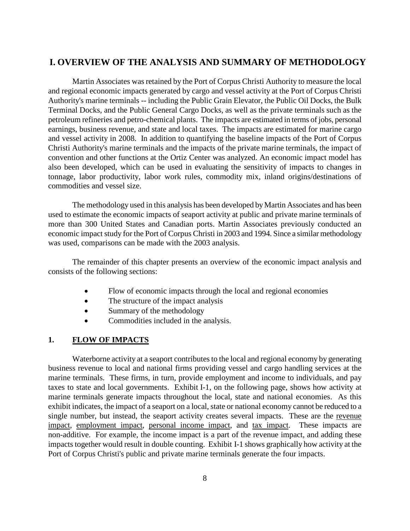## <span id="page-9-0"></span>**I. OVERVIEW OF THE ANALYSIS AND SUMMARY OF METHODOLOGY**

Martin Associates was retained by the Port of Corpus Christi Authority to measure the local and regional economic impacts generated by cargo and vessel activity at the Port of Corpus Christi Authority's marine terminals -- including the Public Grain Elevator, the Public Oil Docks, the Bulk Terminal Docks, and the Public General Cargo Docks, as well as the private terminals such as the petroleum refineries and petro-chemical plants. The impacts are estimated in terms of jobs, personal earnings, business revenue, and state and local taxes. The impacts are estimated for marine cargo and vessel activity in 2008. In addition to quantifying the baseline impacts of the Port of Corpus Christi Authority's marine terminals and the impacts of the private marine terminals, the impact of convention and other functions at the Ortiz Center was analyzed. An economic impact model has also been developed, which can be used in evaluating the sensitivity of impacts to changes in tonnage, labor productivity, labor work rules, commodity mix, inland origins/destinations of commodities and vessel size.

The methodology used in this analysis has been developed by Martin Associates and has been used to estimate the economic impacts of seaport activity at public and private marine terminals of more than 300 United States and Canadian ports. Martin Associates previously conducted an economic impact study for the Port of Corpus Christi in 2003 and 1994. Since a similar methodology was used, comparisons can be made with the 2003 analysis.

The remainder of this chapter presents an overview of the economic impact analysis and consists of the following sections:

- Flow of economic impacts through the local and regional economies
- The structure of the impact analysis
- Summary of the methodology
- Commodities included in the analysis.

## <span id="page-9-1"></span>**1. FLOW OF IMPACTS**

Waterborne activity at a seaport contributes to the local and regional economy by generating business revenue to local and national firms providing vessel and cargo handling services at the marine terminals. These firms, in turn, provide employment and income to individuals, and pay taxes to state and local governments. Exhibit I-1, on the following page, shows how activity at marine terminals generate impacts throughout the local, state and national economies. As this exhibit indicates, the impact of a seaport on a local, state or national economy cannot be reduced to a single number, but instead, the seaport activity creates several impacts. These are the revenue impact, employment impact, personal income impact, and tax impact. These impacts are non-additive. For example, the income impact is a part of the revenue impact, and adding these impacts together would result in double counting. Exhibit I-1 shows graphically how activity at the Port of Corpus Christi's public and private marine terminals generate the four impacts.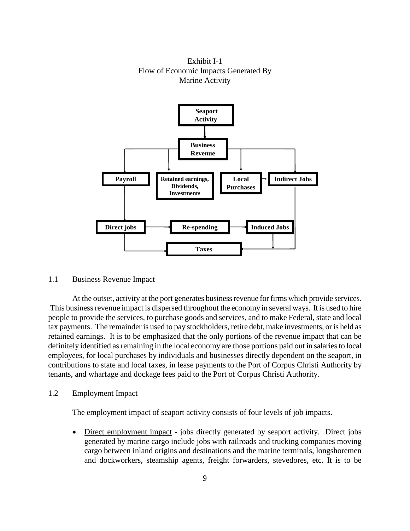Exhibit I-1 Flow of Economic Impacts Generated By Marine Activity



## <span id="page-10-0"></span>1.1 Business Revenue Impact

At the outset, activity at the port generates business revenue for firms which provide services. This business revenue impact is dispersed throughout the economy in several ways. It is used to hire people to provide the services, to purchase goods and services, and to make Federal, state and local tax payments. The remainder is used to pay stockholders, retire debt, make investments, or is held as retained earnings. It is to be emphasized that the only portions of the revenue impact that can be definitely identified as remaining in the local economy are those portions paid out in salaries to local employees, for local purchases by individuals and businesses directly dependent on the seaport, in contributions to state and local taxes, in lease payments to the Port of Corpus Christi Authority by tenants, and wharfage and dockage fees paid to the Port of Corpus Christi Authority.

## <span id="page-10-1"></span>1.2 Employment Impact

The employment impact of seaport activity consists of four levels of job impacts.

• Direct employment impact - jobs directly generated by seaport activity. Direct jobs generated by marine cargo include jobs with railroads and trucking companies moving cargo between inland origins and destinations and the marine terminals, longshoremen and dockworkers, steamship agents, freight forwarders, stevedores, etc. It is to be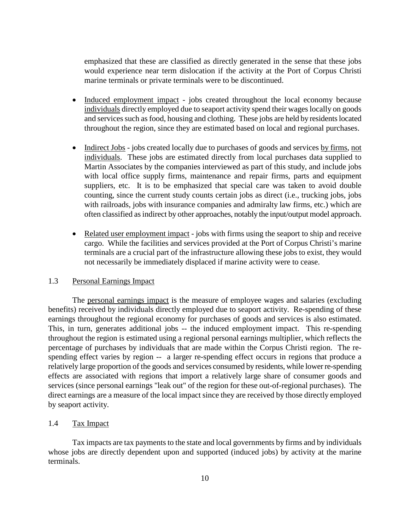emphasized that these are classified as directly generated in the sense that these jobs would experience near term dislocation if the activity at the Port of Corpus Christi marine terminals or private terminals were to be discontinued.

- Induced employment impact jobs created throughout the local economy because individuals directly employed due to seaport activity spend their wages locally on goods and services such as food, housing and clothing. These jobs are held by residents located throughout the region, since they are estimated based on local and regional purchases.
- Indirect Jobs jobs created locally due to purchases of goods and services by firms, not individuals. These jobs are estimated directly from local purchases data supplied to Martin Associates by the companies interviewed as part of this study, and include jobs with local office supply firms, maintenance and repair firms, parts and equipment suppliers, etc. It is to be emphasized that special care was taken to avoid double counting, since the current study counts certain jobs as direct (i.e., trucking jobs, jobs with railroads, jobs with insurance companies and admiralty law firms, etc.) which are often classified as indirect by other approaches, notably the input/output model approach.
- Related user employment impact jobs with firms using the seaport to ship and receive cargo. While the facilities and services provided at the Port of Corpus Christi's marine terminals are a crucial part of the infrastructure allowing these jobs to exist, they would not necessarily be immediately displaced if marine activity were to cease.

## <span id="page-11-0"></span>1.3 Personal Earnings Impact

The personal earnings impact is the measure of employee wages and salaries (excluding benefits) received by individuals directly employed due to seaport activity. Re-spending of these earnings throughout the regional economy for purchases of goods and services is also estimated. This, in turn, generates additional jobs -- the induced employment impact. This re-spending throughout the region is estimated using a regional personal earnings multiplier, which reflects the percentage of purchases by individuals that are made within the Corpus Christi region. The respending effect varies by region -- a larger re-spending effect occurs in regions that produce a relatively large proportion of the goods and services consumed by residents, while lower re-spending effects are associated with regions that import a relatively large share of consumer goods and services (since personal earnings "leak out" of the region for these out-of-regional purchases). The direct earnings are a measure of the local impact since they are received by those directly employed by seaport activity.

## <span id="page-11-1"></span>1.4 Tax Impact

Tax impacts are tax payments to the state and local governments by firms and by individuals whose jobs are directly dependent upon and supported (induced jobs) by activity at the marine terminals.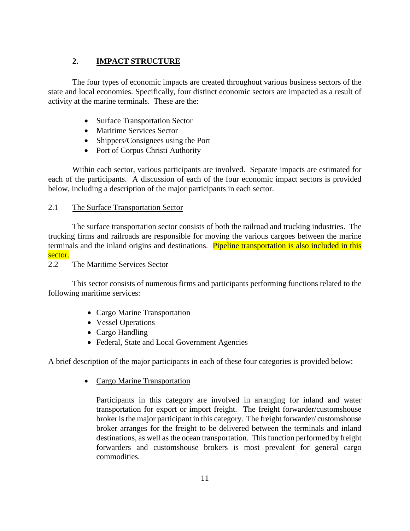## **2. IMPACT STRUCTURE**

<span id="page-12-0"></span>The four types of economic impacts are created throughout various business sectors of the state and local economies. Specifically, four distinct economic sectors are impacted as a result of activity at the marine terminals. These are the:

- Surface Transportation Sector
- Maritime Services Sector
- Shippers/Consignees using the Port
- Port of Corpus Christi Authority

Within each sector, various participants are involved. Separate impacts are estimated for each of the participants. A discussion of each of the four economic impact sectors is provided below, including a description of the major participants in each sector.

## <span id="page-12-1"></span>2.1 The Surface Transportation Sector

The surface transportation sector consists of both the railroad and trucking industries. The trucking firms and railroads are responsible for moving the various cargoes between the marine terminals and the inland origins and destinations. Pipeline transportation is also included in this sector.

<span id="page-12-2"></span>2.2 The Maritime Services Sector

This sector consists of numerous firms and participants performing functions related to the following maritime services:

- Cargo Marine Transportation
- Vessel Operations
- Cargo Handling
- Federal, State and Local Government Agencies

A brief description of the major participants in each of these four categories is provided below:

• Cargo Marine Transportation

Participants in this category are involved in arranging for inland and water transportation for export or import freight. The freight forwarder/customshouse broker is the major participant in this category. The freight forwarder/ customshouse broker arranges for the freight to be delivered between the terminals and inland destinations, as well as the ocean transportation. This function performed by freight forwarders and customshouse brokers is most prevalent for general cargo commodities.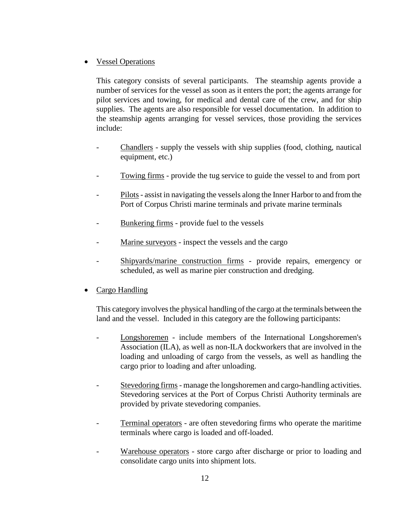## • Vessel Operations

This category consists of several participants. The steamship agents provide a number of services for the vessel as soon as it enters the port; the agents arrange for pilot services and towing, for medical and dental care of the crew, and for ship supplies. The agents are also responsible for vessel documentation. In addition to the steamship agents arranging for vessel services, those providing the services include:

- Chandlers supply the vessels with ship supplies (food, clothing, nautical equipment, etc.)
- Towing firms provide the tug service to guide the vessel to and from port
- Pilots assist in navigating the vessels along the Inner Harbor to and from the Port of Corpus Christi marine terminals and private marine terminals
- Bunkering firms provide fuel to the vessels
- Marine surveyors inspect the vessels and the cargo
- Shipyards/marine construction firms provide repairs, emergency or scheduled, as well as marine pier construction and dredging.
- Cargo Handling

This category involves the physical handling of the cargo at the terminals between the land and the vessel. Included in this category are the following participants:

- Longshoremen include members of the International Longshoremen's Association (ILA), as well as non-ILA dockworkers that are involved in the loading and unloading of cargo from the vessels, as well as handling the cargo prior to loading and after unloading.
- Stevedoring firms manage the longshoremen and cargo-handling activities. Stevedoring services at the Port of Corpus Christi Authority terminals are provided by private stevedoring companies.
- Terminal operators are often stevedoring firms who operate the maritime terminals where cargo is loaded and off-loaded.
- Warehouse operators store cargo after discharge or prior to loading and consolidate cargo units into shipment lots.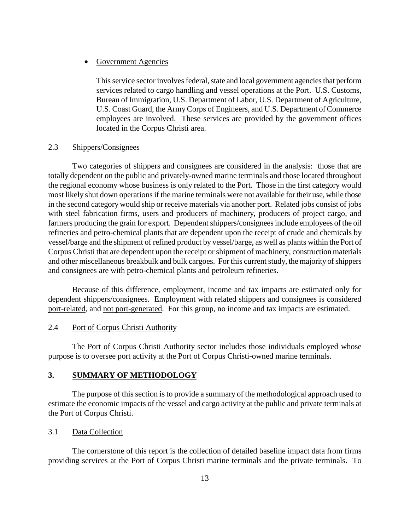## • Government Agencies

This service sector involves federal, state and local government agencies that perform services related to cargo handling and vessel operations at the Port. U.S. Customs, Bureau of Immigration, U.S. Department of Labor, U.S. Department of Agriculture, U.S. Coast Guard, the Army Corps of Engineers, and U.S. Department of Commerce employees are involved. These services are provided by the government offices located in the Corpus Christi area.

## <span id="page-14-0"></span>2.3 Shippers/Consignees

Two categories of shippers and consignees are considered in the analysis: those that are totally dependent on the public and privately-owned marine terminals and those located throughout the regional economy whose business is only related to the Port. Those in the first category would most likely shut down operations if the marine terminals were not available for their use, while those in the second category would ship or receive materials via another port. Related jobs consist of jobs with steel fabrication firms, users and producers of machinery, producers of project cargo, and farmers producing the grain for export. Dependent shippers/consignees include employees of the oil refineries and petro-chemical plants that are dependent upon the receipt of crude and chemicals by vessel/barge and the shipment of refined product by vessel/barge, as well as plants within the Port of Corpus Christi that are dependent upon the receipt or shipment of machinery, construction materials and other miscellaneous breakbulk and bulk cargoes. For this current study, the majority of shippers and consignees are with petro-chemical plants and petroleum refineries.

Because of this difference, employment, income and tax impacts are estimated only for dependent shippers/consignees. Employment with related shippers and consignees is considered port-related, and not port-generated. For this group, no income and tax impacts are estimated.

## <span id="page-14-1"></span>2.4 Port of Corpus Christi Authority

The Port of Corpus Christi Authority sector includes those individuals employed whose purpose is to oversee port activity at the Port of Corpus Christi-owned marine terminals.

## <span id="page-14-2"></span>**3. SUMMARY OF METHODOLOGY**

The purpose of this section is to provide a summary of the methodological approach used to estimate the economic impacts of the vessel and cargo activity at the public and private terminals at the Port of Corpus Christi.

## <span id="page-14-3"></span>3.1 Data Collection

The cornerstone of this report is the collection of detailed baseline impact data from firms providing services at the Port of Corpus Christi marine terminals and the private terminals. To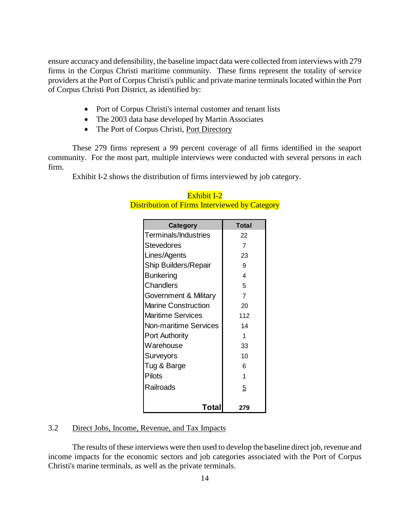ensure accuracy and defensibility, the baseline impact data were collected from interviews with 279 firms in the Corpus Christi maritime community. These firms represent the totality of service providers at the Port of Corpus Christi's public and private marine terminals located within the Port of Corpus Christi Port District, as identified by:

- Port of Corpus Christi's internal customer and tenant lists
- The 2003 data base developed by Martin Associates
- The Port of Corpus Christi, Port Directory

These 279 firms represent a 99 percent coverage of all firms identified in the seaport community. For the most part, multiple interviews were conducted with several persons in each firm.

Exhibit I-2 shows the distribution of firms interviewed by job category.

| <b>Category</b>              | Total |
|------------------------------|-------|
| Terminals/Industries         | 22    |
| <b>Stevedores</b>            | 7     |
| Lines/Agents                 | 23    |
| Ship Builders/Repair         | 9     |
| <b>Bunkering</b>             | 4     |
| Chandlers                    | 5     |
| Government & Military        | 7     |
| <b>Marine Construction</b>   | 20    |
| Maritime Services            | 112   |
| <b>Non-maritime Services</b> | 14    |
| <b>Port Authority</b>        | 1     |
| Warehouse                    | 33    |
| Surveyors                    | 10    |
| Tug & Barge                  | 6     |
| <b>Pilots</b>                | 1     |
| Railroads                    | 5     |
| Total                        | 279   |

## Exhibit I-2 Distribution of Firms Interviewed by Category

## <span id="page-15-0"></span>3.2 Direct Jobs, Income, Revenue, and Tax Impacts

The results of these interviews were then used to develop the baseline direct job, revenue and income impacts for the economic sectors and job categories associated with the Port of Corpus Christi's marine terminals, as well as the private terminals.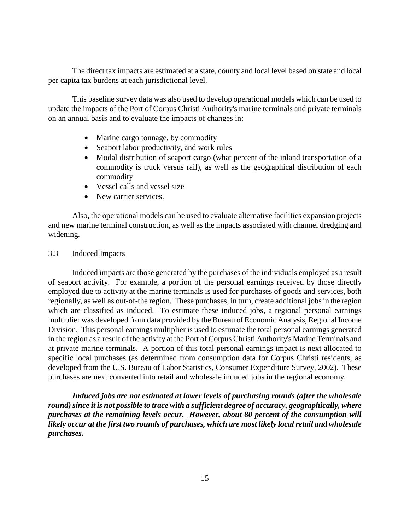The direct tax impacts are estimated at a state, county and local level based on state and local per capita tax burdens at each jurisdictional level.

This baseline survey data was also used to develop operational models which can be used to update the impacts of the Port of Corpus Christi Authority's marine terminals and private terminals on an annual basis and to evaluate the impacts of changes in:

- Marine cargo tonnage, by commodity
- Seaport labor productivity, and work rules
- Modal distribution of seaport cargo (what percent of the inland transportation of a commodity is truck versus rail), as well as the geographical distribution of each commodity
- Vessel calls and vessel size
- New carrier services.

Also, the operational models can be used to evaluate alternative facilities expansion projects and new marine terminal construction, as well as the impacts associated with channel dredging and widening.

## <span id="page-16-0"></span>3.3 Induced Impacts

Induced impacts are those generated by the purchases of the individuals employed as a result of seaport activity. For example, a portion of the personal earnings received by those directly employed due to activity at the marine terminals is used for purchases of goods and services, both regionally, as well as out-of-the region. These purchases, in turn, create additional jobs in the region which are classified as induced. To estimate these induced jobs, a regional personal earnings multiplier was developed from data provided by the Bureau of Economic Analysis, Regional Income Division. This personal earnings multiplier is used to estimate the total personal earnings generated in the region as a result of the activity at the Port of Corpus Christi Authority's Marine Terminals and at private marine terminals. A portion of this total personal earnings impact is next allocated to specific local purchases (as determined from consumption data for Corpus Christi residents, as developed from the U.S. Bureau of Labor Statistics, Consumer Expenditure Survey, 2002). These purchases are next converted into retail and wholesale induced jobs in the regional economy.

*Induced jobs are not estimated at lower levels of purchasing rounds (after the wholesale round) since it is not possible to trace with a sufficient degree of accuracy, geographically, where purchases at the remaining levels occur. However, about 80 percent of the consumption will likely occur at the first two rounds of purchases, which are most likely local retail and wholesale purchases.*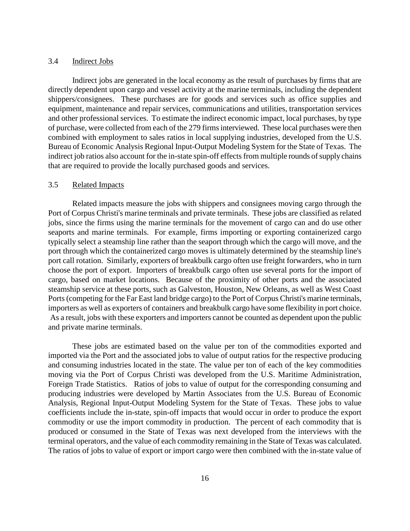#### <span id="page-17-0"></span>3.4 Indirect Jobs

Indirect jobs are generated in the local economy as the result of purchases by firms that are directly dependent upon cargo and vessel activity at the marine terminals, including the dependent shippers/consignees. These purchases are for goods and services such as office supplies and equipment, maintenance and repair services, communications and utilities, transportation services and other professional services. To estimate the indirect economic impact, local purchases, by type of purchase, were collected from each of the 279 firms interviewed. These local purchases were then combined with employment to sales ratios in local supplying industries, developed from the U.S. Bureau of Economic Analysis Regional Input-Output Modeling System for the State of Texas. The indirect job ratios also account for the in-state spin-off effects from multiple rounds of supply chains that are required to provide the locally purchased goods and services.

## <span id="page-17-1"></span>3.5 Related Impacts

Related impacts measure the jobs with shippers and consignees moving cargo through the Port of Corpus Christi's marine terminals and private terminals. These jobs are classified as related jobs, since the firms using the marine terminals for the movement of cargo can and do use other seaports and marine terminals. For example, firms importing or exporting containerized cargo typically select a steamship line rather than the seaport through which the cargo will move, and the port through which the containerized cargo moves is ultimately determined by the steamship line's port call rotation. Similarly, exporters of breakbulk cargo often use freight forwarders, who in turn choose the port of export. Importers of breakbulk cargo often use several ports for the import of cargo, based on market locations. Because of the proximity of other ports and the associated steamship service at these ports, such as Galveston, Houston, New Orleans, as well as West Coast Ports (competing for the Far East land bridge cargo) to the Port of Corpus Christi's marine terminals, importers as well as exporters of containers and breakbulk cargo have some flexibility in port choice. As a result, jobs with these exporters and importers cannot be counted as dependent upon the public and private marine terminals.

These jobs are estimated based on the value per ton of the commodities exported and imported via the Port and the associated jobs to value of output ratios for the respective producing and consuming industries located in the state. The value per ton of each of the key commodities moving via the Port of Corpus Christi was developed from the U.S. Maritime Administration, Foreign Trade Statistics. Ratios of jobs to value of output for the corresponding consuming and producing industries were developed by Martin Associates from the U.S. Bureau of Economic Analysis, Regional Input-Output Modeling System for the State of Texas. These jobs to value coefficients include the in-state, spin-off impacts that would occur in order to produce the export commodity or use the import commodity in production. The percent of each commodity that is produced or consumed in the State of Texas was next developed from the interviews with the terminal operators, and the value of each commodity remaining in the State of Texas was calculated. The ratios of jobs to value of export or import cargo were then combined with the in-state value of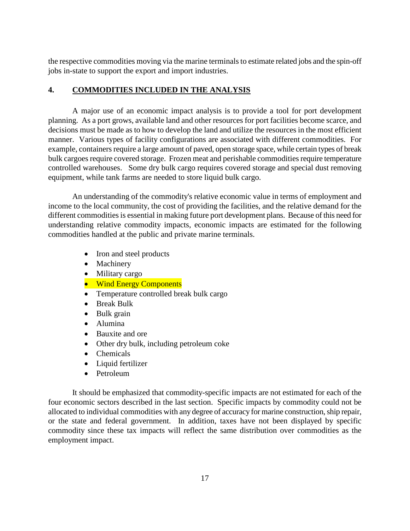the respective commodities moving via the marine terminals to estimate related jobs and the spin-off jobs in-state to support the export and import industries.

## <span id="page-18-0"></span>**4. COMMODITIES INCLUDED IN THE ANALYSIS**

A major use of an economic impact analysis is to provide a tool for port development planning. As a port grows, available land and other resources for port facilities become scarce, and decisions must be made as to how to develop the land and utilize the resources in the most efficient manner. Various types of facility configurations are associated with different commodities. For example, containers require a large amount of paved, open storage space, while certain types of break bulk cargoes require covered storage. Frozen meat and perishable commodities require temperature controlled warehouses. Some dry bulk cargo requires covered storage and special dust removing equipment, while tank farms are needed to store liquid bulk cargo.

An understanding of the commodity's relative economic value in terms of employment and income to the local community, the cost of providing the facilities, and the relative demand for the different commodities is essential in making future port development plans. Because of this need for understanding relative commodity impacts, economic impacts are estimated for the following commodities handled at the public and private marine terminals.

- Iron and steel products
- Machinery
- Military cargo
- Wind Energy Components
- Temperature controlled break bulk cargo
- Break Bulk
- Bulk grain
- Alumina
- Bauxite and ore
- Other dry bulk, including petroleum coke
- Chemicals
- Liquid fertilizer
- Petroleum

It should be emphasized that commodity-specific impacts are not estimated for each of the four economic sectors described in the last section. Specific impacts by commodity could not be allocated to individual commodities with any degree of accuracy for marine construction, ship repair, or the state and federal government. In addition, taxes have not been displayed by specific commodity since these tax impacts will reflect the same distribution over commodities as the employment impact.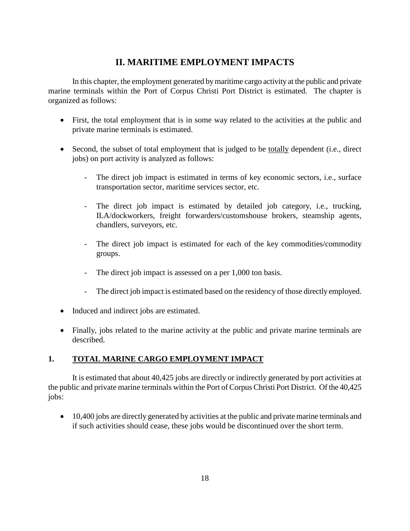## **II. MARITIME EMPLOYMENT IMPACTS**

<span id="page-19-0"></span>In this chapter, the employment generated by maritime cargo activity at the public and private marine terminals within the Port of Corpus Christi Port District is estimated. The chapter is organized as follows:

- First, the total employment that is in some way related to the activities at the public and private marine terminals is estimated.
- Second, the subset of total employment that is judged to be totally dependent (i.e., direct jobs) on port activity is analyzed as follows:
	- The direct job impact is estimated in terms of key economic sectors, i.e., surface transportation sector, maritime services sector, etc.
	- The direct job impact is estimated by detailed job category, i.e., trucking, ILA/dockworkers, freight forwarders/customshouse brokers, steamship agents, chandlers, surveyors, etc.
	- The direct job impact is estimated for each of the key commodities/commodity groups.
	- The direct job impact is assessed on a per 1,000 ton basis.
	- The direct job impact is estimated based on the residency of those directly employed.
- Induced and indirect jobs are estimated.
- Finally, jobs related to the marine activity at the public and private marine terminals are described.

## <span id="page-19-1"></span>**1. TOTAL MARINE CARGO EMPLOYMENT IMPACT**

It is estimated that about 40,425 jobs are directly or indirectly generated by port activities at the public and private marine terminals within the Port of Corpus Christi Port District. Of the 40,425 jobs:

• 10,400 jobs are directly generated by activities at the public and private marine terminals and if such activities should cease, these jobs would be discontinued over the short term.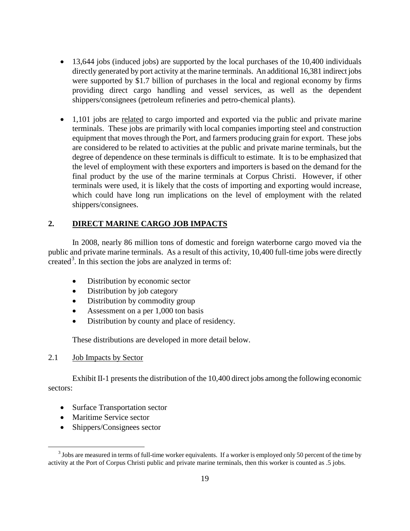- 13,644 jobs (induced jobs) are supported by the local purchases of the 10,400 individuals directly generated by port activity at the marine terminals. An additional 16,381 indirect jobs were supported by \$1.7 billion of purchases in the local and regional economy by firms providing direct cargo handling and vessel services, as well as the dependent shippers/consignees (petroleum refineries and petro-chemical plants).
- 1,101 jobs are related to cargo imported and exported via the public and private marine terminals. These jobs are primarily with local companies importing steel and construction equipment that moves through the Port, and farmers producing grain for export. These jobs are considered to be related to activities at the public and private marine terminals, but the degree of dependence on these terminals is difficult to estimate. It is to be emphasized that the level of employment with these exporters and importers is based on the demand for the final product by the use of the marine terminals at Corpus Christi. However, if other terminals were used, it is likely that the costs of importing and exporting would increase, which could have long run implications on the level of employment with the related shippers/consignees.

## <span id="page-20-0"></span>**2. DIRECT MARINE CARGO JOB IMPACTS**

In 2008, nearly 86 million tons of domestic and foreign waterborne cargo moved via the public and private marine terminals. As a result of this activity, 10,400 full-time jobs were directly created<sup>[3](#page-20-2)</sup>. In this section the jobs are analyzed in terms of:

- Distribution by economic sector
- Distribution by job category
- Distribution by commodity group
- Assessment on a per 1,000 ton basis
- Distribution by county and place of residency.

These distributions are developed in more detail below.

## <span id="page-20-1"></span>2.1 Job Impacts by Sector

Exhibit II-1 presents the distribution of the 10,400 direct jobs among the following economic sectors:

- Surface Transportation sector
- Maritime Service sector

 $\overline{a}$ 

• Shippers/Consignees sector

<span id="page-20-2"></span> $3$  Jobs are measured in terms of full-time worker equivalents. If a worker is employed only 50 percent of the time by activity at the Port of Corpus Christi public and private marine terminals, then this worker is counted as .5 jobs.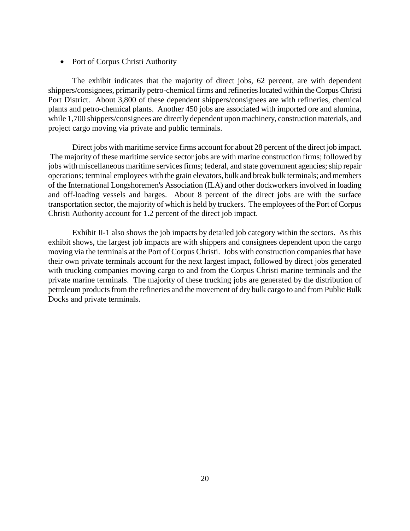#### • Port of Corpus Christi Authority

The exhibit indicates that the majority of direct jobs, 62 percent, are with dependent shippers/consignees, primarily petro-chemical firms and refineries located within the Corpus Christi Port District. About 3,800 of these dependent shippers/consignees are with refineries, chemical plants and petro-chemical plants. Another 450 jobs are associated with imported ore and alumina, while 1,700 shippers/consignees are directly dependent upon machinery, construction materials, and project cargo moving via private and public terminals.

Direct jobs with maritime service firms account for about 28 percent of the direct job impact. The majority of these maritime service sector jobs are with marine construction firms; followed by jobs with miscellaneous maritime services firms; federal, and state government agencies; ship repair operations; terminal employees with the grain elevators, bulk and break bulk terminals; and members of the International Longshoremen's Association (ILA) and other dockworkers involved in loading and off-loading vessels and barges. About 8 percent of the direct jobs are with the surface transportation sector, the majority of which is held by truckers. The employees of the Port of Corpus Christi Authority account for 1.2 percent of the direct job impact.

Exhibit II-1 also shows the job impacts by detailed job category within the sectors. As this exhibit shows, the largest job impacts are with shippers and consignees dependent upon the cargo moving via the terminals at the Port of Corpus Christi. Jobs with construction companies that have their own private terminals account for the next largest impact, followed by direct jobs generated with trucking companies moving cargo to and from the Corpus Christi marine terminals and the private marine terminals. The majority of these trucking jobs are generated by the distribution of petroleum products from the refineries and the movement of dry bulk cargo to and from Public Bulk Docks and private terminals.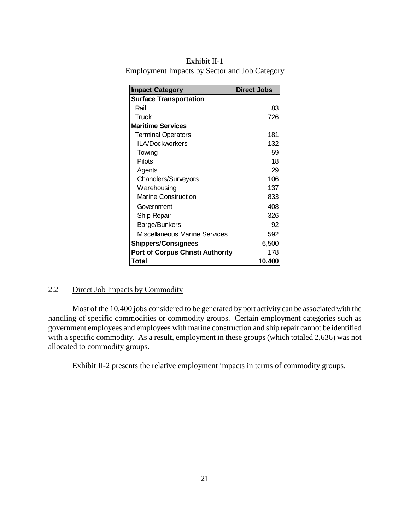| Exhibit II-1                                         |
|------------------------------------------------------|
| <b>Employment Impacts by Sector and Job Category</b> |

| <b>Impact Category</b>                  | <b>Direct Jobs</b> |  |  |  |
|-----------------------------------------|--------------------|--|--|--|
| <b>Surface Transportation</b>           |                    |  |  |  |
| Rail                                    | 83                 |  |  |  |
| Truck                                   | 726                |  |  |  |
| <b>Maritime Services</b>                |                    |  |  |  |
| <b>Terminal Operators</b>               | 181                |  |  |  |
| <b>ILA/Dockworkers</b>                  | 132                |  |  |  |
| Towing                                  | 59                 |  |  |  |
| Pilots                                  | 18                 |  |  |  |
| Agents                                  | 29                 |  |  |  |
| <b>Chandlers/Surveyors</b>              | 106                |  |  |  |
| Warehousing                             | 137                |  |  |  |
| <b>Marine Construction</b>              | 833                |  |  |  |
| Government                              | 408                |  |  |  |
| Ship Repair                             | 326                |  |  |  |
| Barge/Bunkers                           | 92                 |  |  |  |
| Miscellaneous Marine Services           | 592                |  |  |  |
| <b>Shippers/Consignees</b>              | 6,500              |  |  |  |
| <b>Port of Corpus Christi Authority</b> | 178                |  |  |  |
| Total                                   | 10,400             |  |  |  |

## <span id="page-22-0"></span>2.2 Direct Job Impacts by Commodity

Most of the 10,400 jobs considered to be generated by port activity can be associated with the handling of specific commodities or commodity groups. Certain employment categories such as government employees and employees with marine construction and ship repair cannot be identified with a specific commodity. As a result, employment in these groups (which totaled 2,636) was not allocated to commodity groups.

Exhibit II-2 presents the relative employment impacts in terms of commodity groups.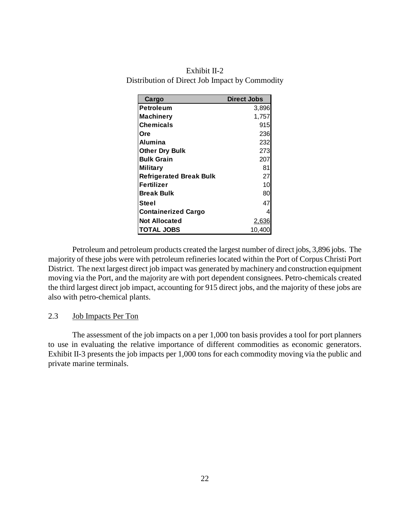| Exhibit $II-2$                                 |
|------------------------------------------------|
| Distribution of Direct Job Impact by Commodity |

| Cargo                          | <b>Direct Jobs</b> |
|--------------------------------|--------------------|
| <b>Petroleum</b>               | 3,896              |
| <b>Machinery</b>               | 1,757              |
| <b>Chemicals</b>               | 915                |
| Ore                            | 236                |
| Alumina                        | 232                |
| <b>Other Dry Bulk</b>          | 273                |
| <b>Bulk Grain</b>              | 207                |
| <b>Military</b>                | 81                 |
| <b>Refrigerated Break Bulk</b> | 27                 |
| <b>Fertilizer</b>              | 10                 |
| <b>Break Bulk</b>              | 80                 |
| Steel                          | 47                 |
| <b>Containerized Cargo</b>     | 4                  |
| <b>Not Allocated</b>           | <u>2,636</u>       |
| <b>TOTAL JOBS</b>              | 10,400             |

Petroleum and petroleum products created the largest number of direct jobs, 3,896 jobs. The majority of these jobs were with petroleum refineries located within the Port of Corpus Christi Port District. The next largest direct job impact was generated by machinery and construction equipment moving via the Port, and the majority are with port dependent consignees. Petro-chemicals created the third largest direct job impact, accounting for 915 direct jobs, and the majority of these jobs are also with petro-chemical plants.

#### <span id="page-23-0"></span>2.3 Job Impacts Per Ton

The assessment of the job impacts on a per 1,000 ton basis provides a tool for port planners to use in evaluating the relative importance of different commodities as economic generators. Exhibit II-3 presents the job impacts per 1,000 tons for each commodity moving via the public and private marine terminals.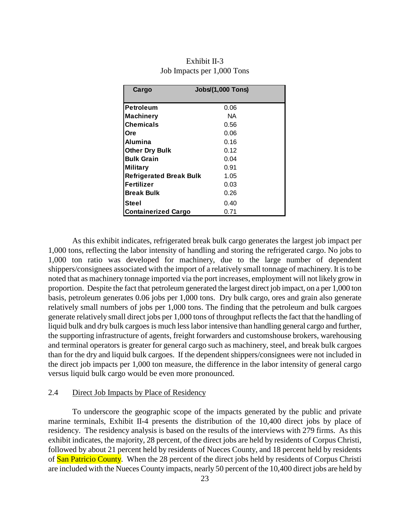| Cargo                          | <b>Jobs/(1,000 Tons)</b> |
|--------------------------------|--------------------------|
|                                |                          |
| Petroleum                      | 0.06                     |
| <b>Machinery</b>               | NA.                      |
| <b>Chemicals</b>               | 0.56                     |
| <b>Ore</b>                     | 0.06                     |
| Alumina                        | 0.16                     |
| <b>Other Dry Bulk</b>          | 0.12                     |
| <b>Bulk Grain</b>              | 0.04                     |
| <b>Military</b>                | 0.91                     |
| <b>Refrigerated Break Bulk</b> | 1.05                     |
| <b>Fertilizer</b>              | 0.03                     |
| <b>Break Bulk</b>              | 0.26                     |
| Steel                          | 0.40                     |
| <b>Containerized Cargo</b>     | 0.71                     |

Exhibit II-3 Job Impacts per 1,000 Tons

As this exhibit indicates, refrigerated break bulk cargo generates the largest job impact per 1,000 tons, reflecting the labor intensity of handling and storing the refrigerated cargo. No jobs to 1,000 ton ratio was developed for machinery, due to the large number of dependent shippers/consignees associated with the import of a relatively small tonnage of machinery. It is to be noted that as machinery tonnage imported via the port increases, employment will not likely grow in proportion. Despite the fact that petroleum generated the largest direct job impact, on a per 1,000 ton basis, petroleum generates 0.06 jobs per 1,000 tons. Dry bulk cargo, ores and grain also generate relatively small numbers of jobs per 1,000 tons. The finding that the petroleum and bulk cargoes generate relatively small direct jobs per 1,000 tons of throughput reflects the fact that the handling of liquid bulk and dry bulk cargoes is much less labor intensive than handling general cargo and further, the supporting infrastructure of agents, freight forwarders and customshouse brokers, warehousing and terminal operators is greater for general cargo such as machinery, steel, and break bulk cargoes than for the dry and liquid bulk cargoes. If the dependent shippers/consignees were not included in the direct job impacts per 1,000 ton measure, the difference in the labor intensity of general cargo versus liquid bulk cargo would be even more pronounced.

## <span id="page-24-0"></span>2.4 Direct Job Impacts by Place of Residency

To underscore the geographic scope of the impacts generated by the public and private marine terminals, Exhibit II-4 presents the distribution of the 10,400 direct jobs by place of residency. The residency analysis is based on the results of the interviews with 279 firms. As this exhibit indicates, the majority, 28 percent, of the direct jobs are held by residents of Corpus Christi, followed by about 21 percent held by residents of Nueces County, and 18 percent held by residents of San Patricio County. When the 28 percent of the direct jobs held by residents of Corpus Christi are included with the Nueces County impacts, nearly 50 percent of the 10,400 direct jobs are held by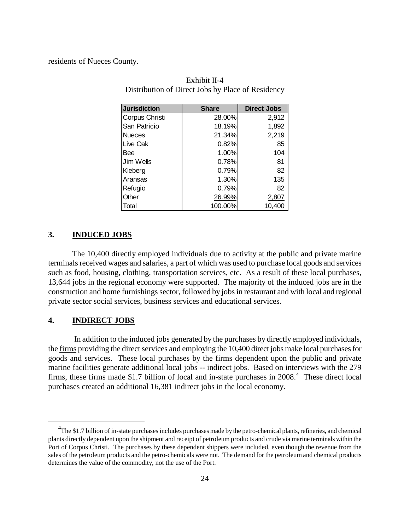residents of Nueces County.

| <b>Jurisdiction</b> | <b>Share</b> | <b>Direct Jobs</b> |
|---------------------|--------------|--------------------|
| Corpus Christi      | 28.00%       | 2,912              |
| San Patricio        | 18.19%       | 1,892              |
| <b>Nueces</b>       | 21.34%       | 2,219              |
| Live Oak            | 0.82%        | 85                 |
| Bee                 | 1.00%        | 104                |
| Jim Wells           | 0.78%        | 81                 |
| Kleberg             | 0.79%        | 82                 |
| Aransas             | 1.30%        | 135                |
| Refugio             | 0.79%        | 82                 |
| Other               | 26.99%       | 2,807              |
| Total               | 100.00%      | 10.400             |

Exhibit II-4 Distribution of Direct Jobs by Place of Residency

## <span id="page-25-0"></span>**3. INDUCED JOBS**

The 10,400 directly employed individuals due to activity at the public and private marine terminals received wages and salaries, a part of which was used to purchase local goods and services such as food, housing, clothing, transportation services, etc. As a result of these local purchases, 13,644 jobs in the regional economy were supported. The majority of the induced jobs are in the construction and home furnishings sector, followed by jobs in restaurant and with local and regional private sector social services, business services and educational services.

## <span id="page-25-1"></span>**4. INDIRECT JOBS**

 $\overline{a}$ 

In addition to the induced jobs generated by the purchases by directly employed individuals, the firms providing the direct services and employing the 10,400 direct jobs make local purchases for goods and services. These local purchases by the firms dependent upon the public and private marine facilities generate additional local jobs -- indirect jobs. Based on interviews with the 279 firms, these firms made \$1.7 billion of local and in-state purchases in 2008. [4](#page-25-2) These direct local purchases created an additional 16,381 indirect jobs in the local economy.

<span id="page-25-2"></span><sup>&</sup>lt;sup>4</sup>The \$1.7 billion of in-state purchases includes purchases made by the petro-chemical plants, refineries, and chemical plants directly dependent upon the shipment and receipt of petroleum products and crude via marine terminals within the Port of Corpus Christi. The purchases by these dependent shippers were included, even though the revenue from the sales of the petroleum products and the petro-chemicals were not. The demand for the petroleum and chemical products determines the value of the commodity, not the use of the Port.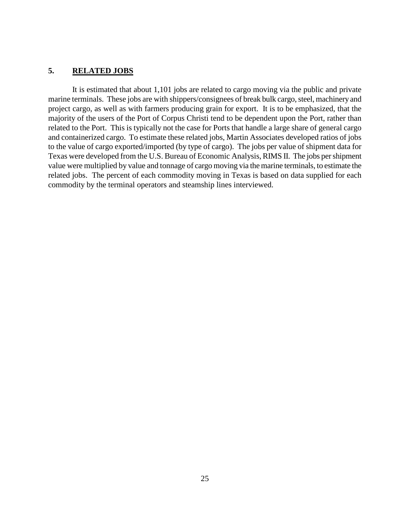## <span id="page-26-0"></span>**5. RELATED JOBS**

It is estimated that about 1,101 jobs are related to cargo moving via the public and private marine terminals. These jobs are with shippers/consignees of break bulk cargo, steel, machinery and project cargo, as well as with farmers producing grain for export. It is to be emphasized, that the majority of the users of the Port of Corpus Christi tend to be dependent upon the Port, rather than related to the Port. This is typically not the case for Ports that handle a large share of general cargo and containerized cargo. To estimate these related jobs, Martin Associates developed ratios of jobs to the value of cargo exported/imported (by type of cargo). The jobs per value of shipment data for Texas were developed from the U.S. Bureau of Economic Analysis, RIMS II. The jobs per shipment value were multiplied by value and tonnage of cargo moving via the marine terminals, to estimate the related jobs. The percent of each commodity moving in Texas is based on data supplied for each commodity by the terminal operators and steamship lines interviewed.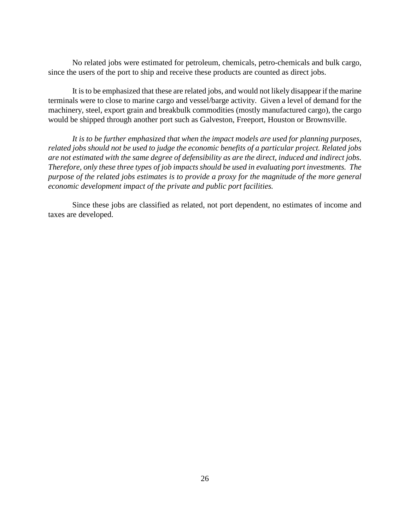No related jobs were estimated for petroleum, chemicals, petro-chemicals and bulk cargo, since the users of the port to ship and receive these products are counted as direct jobs.

It is to be emphasized that these are related jobs, and would not likely disappear if the marine terminals were to close to marine cargo and vessel/barge activity. Given a level of demand for the machinery, steel, export grain and breakbulk commodities (mostly manufactured cargo), the cargo would be shipped through another port such as Galveston, Freeport, Houston or Brownsville.

*It is to be further emphasized that when the impact models are used for planning purposes, related jobs should not be used to judge the economic benefits of a particular project. Related jobs are not estimated with the same degree of defensibility as are the direct, induced and indirect jobs. Therefore, only these three types of job impacts should be used in evaluating port investments. The purpose of the related jobs estimates is to provide a proxy for the magnitude of the more general economic development impact of the private and public port facilities.*

Since these jobs are classified as related, not port dependent, no estimates of income and taxes are developed.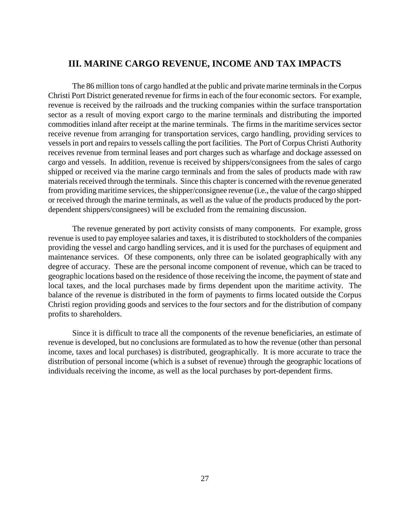## <span id="page-28-0"></span>**III. MARINE CARGO REVENUE, INCOME AND TAX IMPACTS**

The 86 million tons of cargo handled at the public and private marine terminals in the Corpus Christi Port District generated revenue for firms in each of the four economic sectors. For example, revenue is received by the railroads and the trucking companies within the surface transportation sector as a result of moving export cargo to the marine terminals and distributing the imported commodities inland after receipt at the marine terminals. The firms in the maritime services sector receive revenue from arranging for transportation services, cargo handling, providing services to vessels in port and repairs to vessels calling the port facilities. The Port of Corpus Christi Authority receives revenue from terminal leases and port charges such as wharfage and dockage assessed on cargo and vessels. In addition, revenue is received by shippers/consignees from the sales of cargo shipped or received via the marine cargo terminals and from the sales of products made with raw materials received through the terminals. Since this chapter is concerned with the revenue generated from providing maritime services, the shipper/consignee revenue (i.e., the value of the cargo shipped or received through the marine terminals, as well as the value of the products produced by the portdependent shippers/consignees) will be excluded from the remaining discussion.

The revenue generated by port activity consists of many components. For example, gross revenue is used to pay employee salaries and taxes, it is distributed to stockholders of the companies providing the vessel and cargo handling services, and it is used for the purchases of equipment and maintenance services. Of these components, only three can be isolated geographically with any degree of accuracy. These are the personal income component of revenue, which can be traced to geographic locations based on the residence of those receiving the income, the payment of state and local taxes, and the local purchases made by firms dependent upon the maritime activity. The balance of the revenue is distributed in the form of payments to firms located outside the Corpus Christi region providing goods and services to the four sectors and for the distribution of company profits to shareholders.

Since it is difficult to trace all the components of the revenue beneficiaries, an estimate of revenue is developed, but no conclusions are formulated as to how the revenue (other than personal income, taxes and local purchases) is distributed, geographically. It is more accurate to trace the distribution of personal income (which is a subset of revenue) through the geographic locations of individuals receiving the income, as well as the local purchases by port-dependent firms.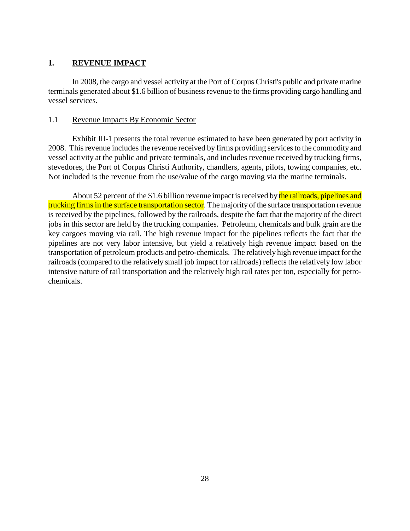## <span id="page-29-0"></span>**1. REVENUE IMPACT**

In 2008, the cargo and vessel activity at the Port of Corpus Christi's public and private marine terminals generated about \$1.6 billion of business revenue to the firms providing cargo handling and vessel services.

## <span id="page-29-1"></span>1.1 Revenue Impacts By Economic Sector

Exhibit III-1 presents the total revenue estimated to have been generated by port activity in 2008. This revenue includes the revenue received by firms providing services to the commodity and vessel activity at the public and private terminals, and includes revenue received by trucking firms, stevedores, the Port of Corpus Christi Authority, chandlers, agents, pilots, towing companies, etc. Not included is the revenue from the use/value of the cargo moving via the marine terminals.

About 52 percent of the \$1.6 billion revenue impact is received by the railroads, pipelines and trucking firms in the surface transportation sector. The majority of the surface transportation revenue is received by the pipelines, followed by the railroads, despite the fact that the majority of the direct jobs in this sector are held by the trucking companies. Petroleum, chemicals and bulk grain are the key cargoes moving via rail. The high revenue impact for the pipelines reflects the fact that the pipelines are not very labor intensive, but yield a relatively high revenue impact based on the transportation of petroleum products and petro-chemicals. The relatively high revenue impact for the railroads (compared to the relatively small job impact for railroads) reflects the relatively low labor intensive nature of rail transportation and the relatively high rail rates per ton, especially for petrochemicals.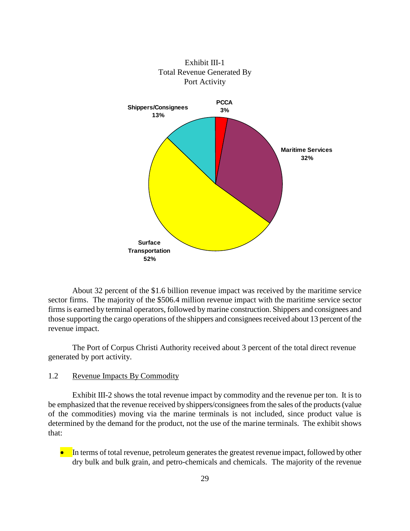

Exhibit III-1 Total Revenue Generated By Port Activity

About 32 percent of the \$1.6 billion revenue impact was received by the maritime service sector firms. The majority of the \$506.4 million revenue impact with the maritime service sector firms is earned by terminal operators, followed by marine construction. Shippers and consignees and those supporting the cargo operations of the shippers and consignees received about 13 percent of the revenue impact.

The Port of Corpus Christi Authority received about 3 percent of the total direct revenue generated by port activity.

## <span id="page-30-0"></span>1.2 Revenue Impacts By Commodity

Exhibit III-2 shows the total revenue impact by commodity and the revenue per ton. It is to be emphasized that the revenue received by shippers/consignees from the sales of the products (value of the commodities) moving via the marine terminals is not included, since product value is determined by the demand for the product, not the use of the marine terminals. The exhibit shows that:

• In terms of total revenue, petroleum generates the greatest revenue impact, followed by other dry bulk and bulk grain, and petro-chemicals and chemicals. The majority of the revenue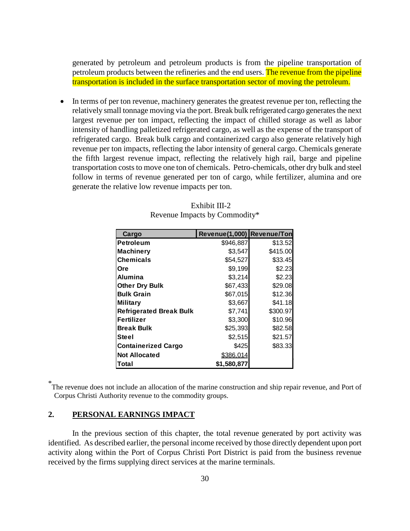generated by petroleum and petroleum products is from the pipeline transportation of petroleum products between the refineries and the end users. The revenue from the pipeline transportation is included in the surface transportation sector of moving the petroleum.

• In terms of per ton revenue, machinery generates the greatest revenue per ton, reflecting the relatively small tonnage moving via the port. Break bulk refrigerated cargo generates the next largest revenue per ton impact, reflecting the impact of chilled storage as well as labor intensity of handling palletized refrigerated cargo, as well as the expense of the transport of refrigerated cargo. Break bulk cargo and containerized cargo also generate relatively high revenue per ton impacts, reflecting the labor intensity of general cargo. Chemicals generate the fifth largest revenue impact, reflecting the relatively high rail, barge and pipeline transportation costs to move one ton of chemicals. Petro-chemicals, other dry bulk and steel follow in terms of revenue generated per ton of cargo, while fertilizer, alumina and ore generate the relative low revenue impacts per ton.

| Cargo                          | Revenue(1,000) Revenue/Ton |          |
|--------------------------------|----------------------------|----------|
| <b>Petroleum</b>               | \$946,887                  | \$13.52  |
| <b>Machinery</b>               | \$3,547                    | \$415.00 |
| <b>Chemicals</b>               | \$54,527                   | \$33.45  |
| Ore                            | \$9,199                    | \$2.23   |
| Alumina                        | \$3,214                    | \$2.23   |
| <b>Other Dry Bulk</b>          | \$67,433                   | \$29.08  |
| <b>Bulk Grain</b>              | \$67,015                   | \$12.36  |
| <b>Military</b>                | \$3,667                    | \$41.18  |
| <b>Refrigerated Break Bulk</b> | \$7,741                    | \$300.97 |
| <b>Fertilizer</b>              | \$3,300                    | \$10.96  |
| <b>Break Bulk</b>              | \$25,393                   | \$82.58  |
| Steel                          | \$2,515                    | \$21.57  |
| <b>Containerized Cargo</b>     | \$425                      | \$83.33  |
| <b>Not Allocated</b>           | \$386,014                  |          |
| Total                          | \$1,580,877                |          |

#### Exhibit III-2 Revenue Impacts by Commodity\*

\* The revenue does not include an allocation of the marine construction and ship repair revenue, and Port of Corpus Christi Authority revenue to the commodity groups.

## <span id="page-31-0"></span>**2. PERSONAL EARNINGS IMPACT**

In the previous section of this chapter, the total revenue generated by port activity was identified. As described earlier, the personal income received by those directly dependent upon port activity along within the Port of Corpus Christi Port District is paid from the business revenue received by the firms supplying direct services at the marine terminals.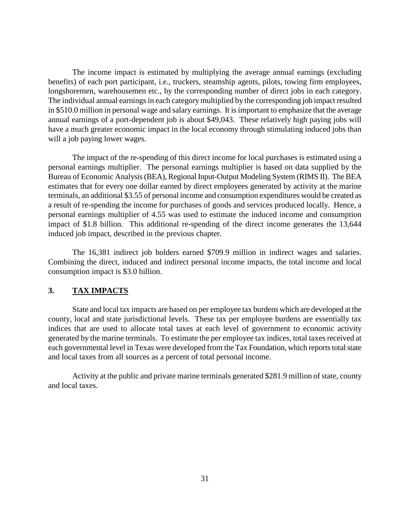The income impact is estimated by multiplying the average annual earnings (excluding benefits) of each port participant, i.e., truckers, steamship agents, pilots, towing firm employees, longshoremen, warehousemen etc., by the corresponding number of direct jobs in each category. The individual annual earnings in each category multiplied by the corresponding job impact resulted in \$510.0 million in personal wage and salary earnings. It is important to emphasize that the average annual earnings of a port-dependent job is about \$49,043. These relatively high paying jobs will have a much greater economic impact in the local economy through stimulating induced jobs than will a job paying lower wages.

The impact of the re-spending of this direct income for local purchases is estimated using a personal earnings multiplier. The personal earnings multiplier is based on data supplied by the Bureau of Economic Analysis (BEA), Regional Input-Output Modeling System (RIMS II). The BEA estimates that for every one dollar earned by direct employees generated by activity at the marine terminals, an additional \$3.55 of personal income and consumption expenditures would be created as a result of re-spending the income for purchases of goods and services produced locally. Hence, a personal earnings multiplier of 4.55 was used to estimate the induced income and consumption impact of \$1.8 billion. This additional re-spending of the direct income generates the 13,644 induced job impact, described in the previous chapter.

The 16,381 indirect job holders earned \$709.9 million in indirect wages and salaries. Combining the direct, induced and indirect personal income impacts, the total income and local consumption impact is \$3.0 billion.

## <span id="page-32-0"></span>**3. TAX IMPACTS**

State and local tax impacts are based on per employee tax burdens which are developed at the county, local and state jurisdictional levels. These tax per employee burdens are essentially tax indices that are used to allocate total taxes at each level of government to economic activity generated by the marine terminals. To estimate the per employee tax indices, total taxes received at each governmental level in Texas were developed from the Tax Foundation, which reports total state and local taxes from all sources as a percent of total personal income.

Activity at the public and private marine terminals generated \$281.9 million of state, county and local taxes.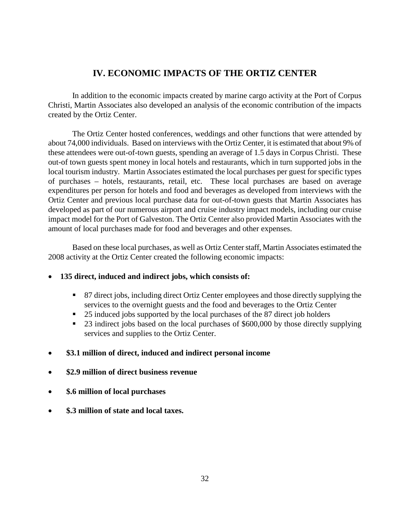## **IV. ECONOMIC IMPACTS OF THE ORTIZ CENTER**

<span id="page-33-0"></span>In addition to the economic impacts created by marine cargo activity at the Port of Corpus Christi, Martin Associates also developed an analysis of the economic contribution of the impacts created by the Ortiz Center.

The Ortiz Center hosted conferences, weddings and other functions that were attended by about 74,000 individuals. Based on interviews with the Ortiz Center, it is estimated that about 9% of these attendees were out-of-town guests, spending an average of 1.5 days in Corpus Christi. These out-of town guests spent money in local hotels and restaurants, which in turn supported jobs in the local tourism industry. Martin Associates estimated the local purchases per guest for specific types of purchases – hotels, restaurants, retail, etc. These local purchases are based on average expenditures per person for hotels and food and beverages as developed from interviews with the Ortiz Center and previous local purchase data for out-of-town guests that Martin Associates has developed as part of our numerous airport and cruise industry impact models, including our cruise impact model for the Port of Galveston. The Ortiz Center also provided Martin Associates with the amount of local purchases made for food and beverages and other expenses.

Based on these local purchases, as well as Ortiz Center staff, Martin Associates estimated the 2008 activity at the Ortiz Center created the following economic impacts:

- **135 direct, induced and indirect jobs, which consists of:**
	- 87 direct jobs, including direct Ortiz Center employees and those directly supplying the services to the overnight guests and the food and beverages to the Ortiz Center
	- <sup>25</sup> induced jobs supported by the local purchases of the 87 direct job holders
	- 23 indirect jobs based on the local purchases of \$600,000 by those directly supplying services and supplies to the Ortiz Center.
- **\$3.1 million of direct, induced and indirect personal income**
- **\$2.9 million of direct business revenue**
- **\$.6 million of local purchases**
- **\$.3 million of state and local taxes.**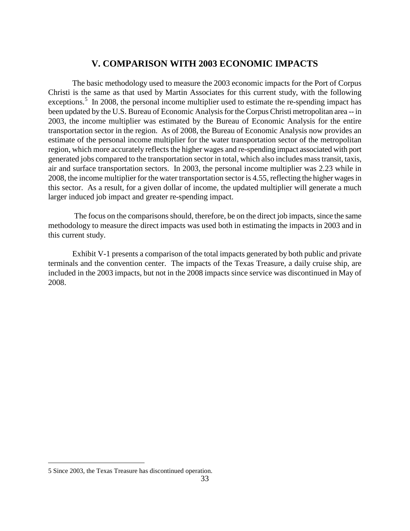## **V. COMPARISON WITH 2003 ECONOMIC IMPACTS**

<span id="page-34-0"></span>The basic methodology used to measure the 2003 economic impacts for the Port of Corpus Christi is the same as that used by Martin Associates for this current study, with the following exceptions.<sup>[5](#page-34-1)</sup> In 2008, the personal income multiplier used to estimate the re-spending impact has been updated by the U.S. Bureau of Economic Analysis for the Corpus Christi metropolitan area -- in 2003, the income multiplier was estimated by the Bureau of Economic Analysis for the entire transportation sector in the region. As of 2008, the Bureau of Economic Analysis now provides an estimate of the personal income multiplier for the water transportation sector of the metropolitan region, which more accurately reflects the higher wages and re-spending impact associated with port generated jobs compared to the transportation sector in total, which also includes mass transit, taxis, air and surface transportation sectors. In 2003, the personal income multiplier was 2.23 while in 2008, the income multiplier for the water transportation sector is 4.55, reflecting the higher wages in this sector. As a result, for a given dollar of income, the updated multiplier will generate a much larger induced job impact and greater re-spending impact.

The focus on the comparisons should, therefore, be on the direct job impacts, since the same methodology to measure the direct impacts was used both in estimating the impacts in 2003 and in this current study.

Exhibit V-1 presents a comparison of the total impacts generated by both public and private terminals and the convention center. The impacts of the Texas Treasure, a daily cruise ship, are included in the 2003 impacts, but not in the 2008 impacts since service was discontinued in May of 2008.

 $\overline{a}$ 

<span id="page-34-1"></span><sup>5</sup> Since 2003, the Texas Treasure has discontinued operation.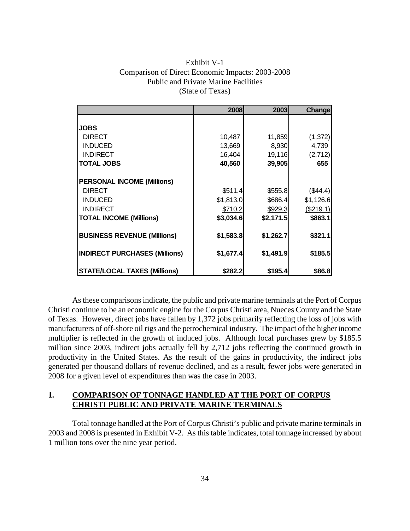| Exhibit V-1                                      |
|--------------------------------------------------|
| Comparison of Direct Economic Impacts: 2003-2008 |
| <b>Public and Private Marine Facilities</b>      |
| (State of Texas)                                 |

|                                      | 2008      | 2003      | Change     |
|--------------------------------------|-----------|-----------|------------|
|                                      |           |           |            |
| <b>JOBS</b>                          |           |           |            |
| <b>DIRECT</b>                        | 10,487    | 11,859    | (1, 372)   |
| <b>INDUCED</b>                       | 13,669    | 8,930     | 4,739      |
| <b>INDIRECT</b>                      | 16,404    | 19,116    | (2, 712)   |
| <b>TOTAL JOBS</b>                    | 40,560    | 39,905    | 655        |
|                                      |           |           |            |
| <b>PERSONAL INCOME (Millions)</b>    |           |           |            |
| <b>DIRECT</b>                        | \$511.4   | \$555.8   | (\$44.4)   |
| <b>INDUCED</b>                       | \$1,813.0 | \$686.4   | \$1,126.6  |
| <b>INDIRECT</b>                      | \$710.2   | \$929.3   | ( \$219.1) |
| <b>TOTAL INCOME (Millions)</b>       | \$3,034.6 | \$2,171.5 | \$863.1    |
|                                      |           |           |            |
| <b>BUSINESS REVENUE (Millions)</b>   | \$1,583.8 | \$1,262.7 | \$321.1    |
|                                      |           |           |            |
| <b>INDIRECT PURCHASES (Millions)</b> | \$1,677.4 | \$1,491.9 | \$185.5    |
|                                      |           |           |            |
| <b>STATE/LOCAL TAXES (Millions)</b>  | \$282.2   | \$195.4   | \$86.8     |

As these comparisons indicate, the public and private marine terminals at the Port of Corpus Christi continue to be an economic engine for the Corpus Christi area, Nueces County and the State of Texas. However, direct jobs have fallen by 1,372 jobs primarily reflecting the loss of jobs with manufacturers of off-shore oil rigs and the petrochemical industry. The impact of the higher income multiplier is reflected in the growth of induced jobs. Although local purchases grew by \$185.5 million since 2003, indirect jobs actually fell by 2,712 jobs reflecting the continued growth in productivity in the United States. As the result of the gains in productivity, the indirect jobs generated per thousand dollars of revenue declined, and as a result, fewer jobs were generated in 2008 for a given level of expenditures than was the case in 2003.

## <span id="page-35-0"></span>**1. COMPARISON OF TONNAGE HANDLED AT THE PORT OF CORPUS CHRISTI PUBLIC AND PRIVATE MARINE TERMINALS**

Total tonnage handled at the Port of Corpus Christi's public and private marine terminals in 2003 and 2008 is presented in Exhibit V-2. As this table indicates, total tonnage increased by about 1 million tons over the nine year period.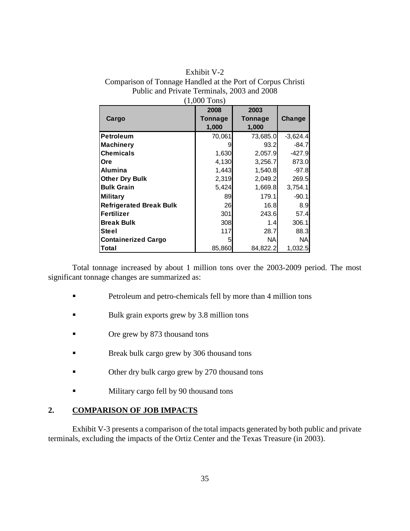| Exhibit V-2                                                 |
|-------------------------------------------------------------|
| Comparison of Tonnage Handled at the Port of Corpus Christi |
| Public and Private Terminals, 2003 and 2008                 |
| $(1,000$ Tons)                                              |

|                                | $1,000$ 101197 |                |            |
|--------------------------------|----------------|----------------|------------|
|                                | 2008           | 2003           |            |
| Cargo                          | Tonnage        | <b>Tonnage</b> | Change     |
|                                | 1,000          | 1,000          |            |
| <b>Petroleum</b>               | 70,061         | 73,685.0       | $-3,624.4$ |
| <b>Machinery</b>               | 9              | 93.2           | $-84.7$    |
| <b>Chemicals</b>               | 1,630          | 2,057.9        | $-427.9$   |
| <b>Ore</b>                     | 4,130          | 3,256.7        | 873.0      |
| <b>Alumina</b>                 | 1,443          | 1,540.8        | $-97.8$    |
| <b>Other Dry Bulk</b>          | 2,319          | 2,049.2        | 269.5      |
| <b>Bulk Grain</b>              | 5,424          | 1,669.8        | 3,754.1    |
| <b>Military</b>                | 89             | 179.1          | $-90.1$    |
| <b>Refrigerated Break Bulk</b> | 26             | 16.8           | 8.9        |
| <b>Fertilizer</b>              | 301            | 243.6          | 57.4       |
| <b>Break Bulk</b>              | 308            | 1.4I           | 306.1      |
| <b>Steel</b>                   | 117            | 28.7           | 88.3       |
| <b>Containerized Cargo</b>     | 5              | <b>NA</b>      | NA.        |
| Total                          | 85,860         | 84,822.2       | 1,032.5    |

Total tonnage increased by about 1 million tons over the 2003-2009 period. The most significant tonnage changes are summarized as:

- **Petroleum and petro-chemicals fell by more than 4 million tons**
- Bulk grain exports grew by 3.8 million tons
- **Ore grew by 873 thousand tons**
- **Break bulk cargo grew by 306 thousand tons**
- Other dry bulk cargo grew by 270 thousand tons
- **Military cargo fell by 90 thousand tons**

## <span id="page-36-0"></span>**2. COMPARISON OF JOB IMPACTS**

Exhibit V-3 presents a comparison of the total impacts generated by both public and private terminals, excluding the impacts of the Ortiz Center and the Texas Treasure (in 2003).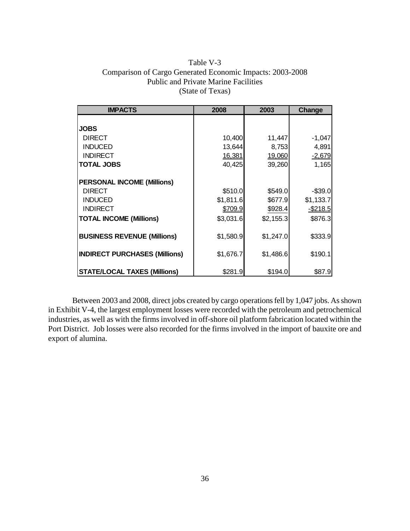## Table V-3 Comparison of Cargo Generated Economic Impacts: 2003-2008 Public and Private Marine Facilities (State of Texas)

| <b>IMPACTS</b>                       | 2008      | 2003      | Change      |
|--------------------------------------|-----------|-----------|-------------|
|                                      |           |           |             |
| <b>JOBS</b>                          |           |           |             |
| <b>DIRECT</b>                        | 10,400    | 11,447    | $-1,047$    |
| <b>INDUCED</b>                       | 13,644    | 8,753     | 4,891       |
| <b>INDIRECT</b>                      | 16,381    | 19,060    | $-2,679$    |
| <b>TOTAL JOBS</b>                    | 40,425    | 39,260    | 1,165       |
|                                      |           |           |             |
| <b>PERSONAL INCOME (Millions)</b>    |           |           |             |
| <b>DIRECT</b>                        | \$510.0   | \$549.0   | $-$39.0$    |
| <b>INDUCED</b>                       | \$1,811.6 | \$677.9   | \$1,133.7   |
| <b>INDIRECT</b>                      | \$709.9   | \$928.4   | $-$ \$218.5 |
| <b>TOTAL INCOME (Millions)</b>       | \$3,031.6 | \$2,155.3 | \$876.3     |
|                                      |           |           |             |
| <b>BUSINESS REVENUE (Millions)</b>   | \$1,580.9 | \$1,247.0 | \$333.9     |
|                                      |           |           |             |
| <b>INDIRECT PURCHASES (Millions)</b> | \$1,676.7 | \$1,486.6 | \$190.1     |
|                                      |           |           |             |
| <b>STATE/LOCAL TAXES (Millions)</b>  | \$281.9   | \$194.0   | \$87.9      |

Between 2003 and 2008, direct jobs created by cargo operations fell by 1,047 jobs. As shown in Exhibit V-4, the largest employment losses were recorded with the petroleum and petrochemical industries, as well as with the firms involved in off-shore oil platform fabrication located within the Port District. Job losses were also recorded for the firms involved in the import of bauxite ore and export of alumina.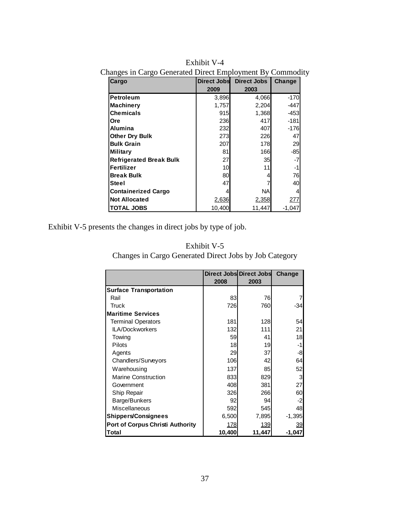| o<br>O<br>Cargo                | Direct Jobs | <b>Direct Jobs</b> | Change   |
|--------------------------------|-------------|--------------------|----------|
|                                | 2009        | 2003               |          |
| <b>Petroleum</b>               | 3,896       | 4,066              | $-170$   |
| <b>Machinery</b>               | 1,757       | 2,204              | -447     |
| <b>Chemicals</b>               | 915         | 1,368              | $-453$   |
| <b>Ore</b>                     | 236         | 417                | $-181$   |
| Alumina                        | 232         | 407                | $-176$   |
| <b>Other Dry Bulk</b>          | 273         | 226                | 47       |
| <b>Bulk Grain</b>              | 207         | 178                | 29       |
| <b>Military</b>                | 81          | 166                | $-85$    |
| <b>Refrigerated Break Bulk</b> | 27          | 35                 | -7       |
| Fertilizer                     | 10          | 11                 | -1       |
| <b>Break Bulk</b>              | 80          | 4                  | 76       |
| <b>Steel</b>                   | 47          |                    | 40       |
| <b>Containerized Cargo</b>     |             | ΝA                 | 4        |
| <b>Not Allocated</b>           | 2,636       | 2,358              | 277      |
| <b>TOTAL JOBS</b>              | 10,400      | 11,447             | $-1,047$ |

Exhibit V-4 Changes in Cargo Generated Direct Employment By Commodity

Exhibit V-5 presents the changes in direct jobs by type of job.

| Exhibit V-5                                            |  |
|--------------------------------------------------------|--|
| Changes in Cargo Generated Direct Jobs by Job Category |  |

|                                         | 2008       | Direct Jobs Direct Jobs<br>2003 | Change   |
|-----------------------------------------|------------|---------------------------------|----------|
| <b>Surface Transportation</b>           |            |                                 |          |
| Rail                                    | 83         | 76                              |          |
| Truck                                   | 726        | 760                             | -34      |
| <b>Maritime Services</b>                |            |                                 |          |
| <b>Terminal Operators</b>               | 181        | 128                             | 54       |
| <b>ILA/Dockworkers</b>                  | 132        | 111                             | 21       |
| Towing                                  | 59         | 41                              | 18       |
| Pilots                                  | 18         | 19                              | -1       |
| Agents                                  | 29         | 37                              | -8       |
| Chandlers/Surveyors                     | 106        | 42                              | 64       |
| Warehousing                             | 137        | 85                              | 52       |
| <b>Marine Construction</b>              | 833        | 829                             | 3        |
| Government                              | 408        | 381                             | 27       |
| Ship Repair                             | 326        | 266                             | 60       |
| Barge/Bunkers                           | 92         | 94                              | $-2$     |
| <b>Miscellaneous</b>                    | 592        | 545                             | 48       |
| <b>Shippers/Consignees</b>              | 6,500      | 7,895                           | $-1,395$ |
| <b>Port of Corpus Christi Authority</b> | <u>178</u> | 139                             | 39       |
| Total                                   | 10,400     | 11,447                          | -1.047   |